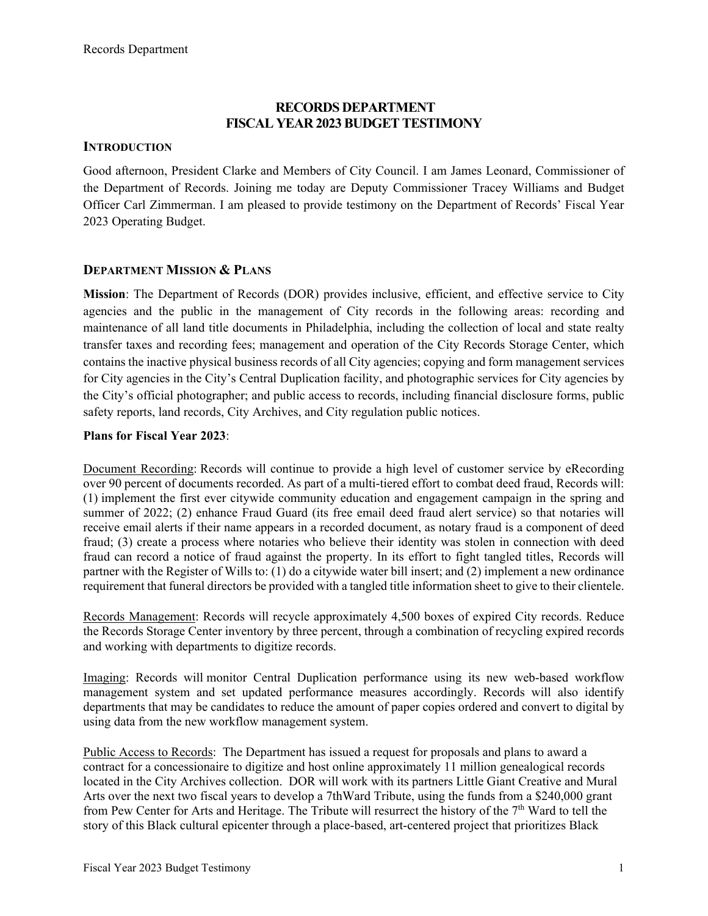## **RECORDS DEPARTMENT FISCAL YEAR 2023 BUDGET TESTIMONY**

## **INTRODUCTION**

Good afternoon, President Clarke and Members of City Council. I am James Leonard, Commissioner of the Department of Records. Joining me today are Deputy Commissioner Tracey Williams and Budget Officer Carl Zimmerman. I am pleased to provide testimony on the Department of Records' Fiscal Year 2023 Operating Budget.

## **DEPARTMENT MISSION & PLANS**

**Mission**: The Department of Records (DOR) provides inclusive, efficient, and effective service to City agencies and the public in the management of City records in the following areas: recording and maintenance of all land title documents in Philadelphia, including the collection of local and state realty transfer taxes and recording fees; management and operation of the City Records Storage Center, which contains the inactive physical business records of all City agencies; copying and form management services for City agencies in the City's Central Duplication facility, and photographic services for City agencies by the City's official photographer; and public access to records, including financial disclosure forms, public safety reports, land records, City Archives, and City regulation public notices.

## **Plans for Fiscal Year 2023**:

Document Recording: Records will continue to provide a high level of customer service by eRecording over 90 percent of documents recorded. As part of a multi-tiered effort to combat deed fraud, Records will: (1) implement the first ever citywide community education and engagement campaign in the spring and summer of 2022; (2) enhance Fraud Guard (its free email deed fraud alert service) so that notaries will receive email alerts if their name appears in a recorded document, as notary fraud is a component of deed fraud; (3) create a process where notaries who believe their identity was stolen in connection with deed fraud can record a notice of fraud against the property. In its effort to fight tangled titles, Records will partner with the Register of Wills to: (1) do a citywide water bill insert; and (2) implement a new ordinance requirement that funeral directors be provided with a tangled title information sheet to give to their clientele.

Records Management: Records will recycle approximately 4,500 boxes of expired City records. Reduce the Records Storage Center inventory by three percent, through a combination of recycling expired records and working with departments to digitize records.

Imaging: Records will monitor Central Duplication performance using its new web-based workflow management system and set updated performance measures accordingly. Records will also identify departments that may be candidates to reduce the amount of paper copies ordered and convert to digital by using data from the new workflow management system.

Public Access to Records: The Department has issued a request for proposals and plans to award a contract for a concessionaire to digitize and host online approximately 11 million genealogical records located in the City Archives collection. DOR will work with its partners Little Giant Creative and Mural Arts over the next two fiscal years to develop a 7thWard Tribute, using the funds from a \$240,000 grant from Pew Center for Arts and Heritage. The Tribute will resurrect the history of the  $7<sup>th</sup>$  Ward to tell the story of this Black cultural epicenter through a place-based, art-centered project that prioritizes Black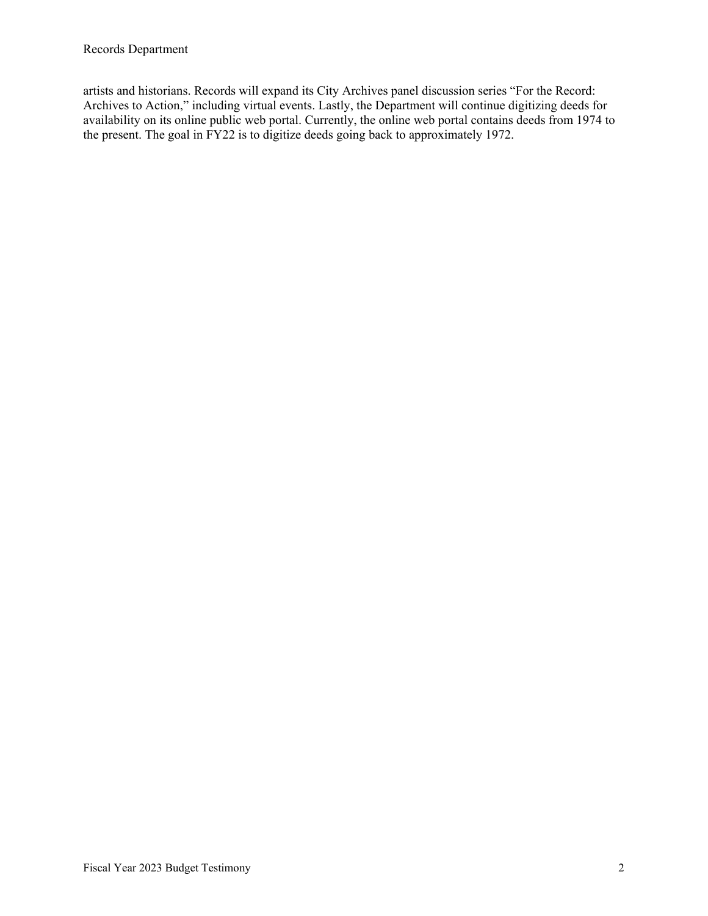artists and historians. Records will expand its City Archives panel discussion series "For the Record: Archives to Action," including virtual events. Lastly, the Department will continue digitizing deeds for availability on its online public web portal. Currently, the online web portal contains deeds from 1974 to the present. The goal in FY22 is to digitize deeds going back to approximately 1972.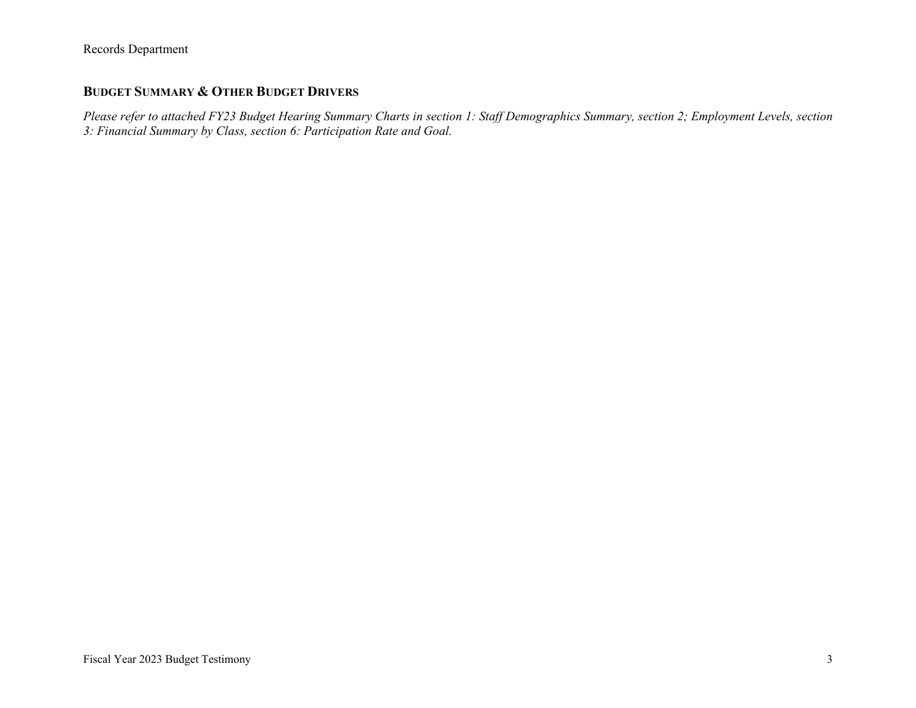## **BUDGET SUMMARY & OTHER BUDGET DRIVERS**

*Please refer to attached FY23 Budget Hearing Summary Charts in section 1: Staff Demographics Summary, section 2; Employment Levels, section 3: Financial Summary by Class, section 6: Participation Rate and Goal.*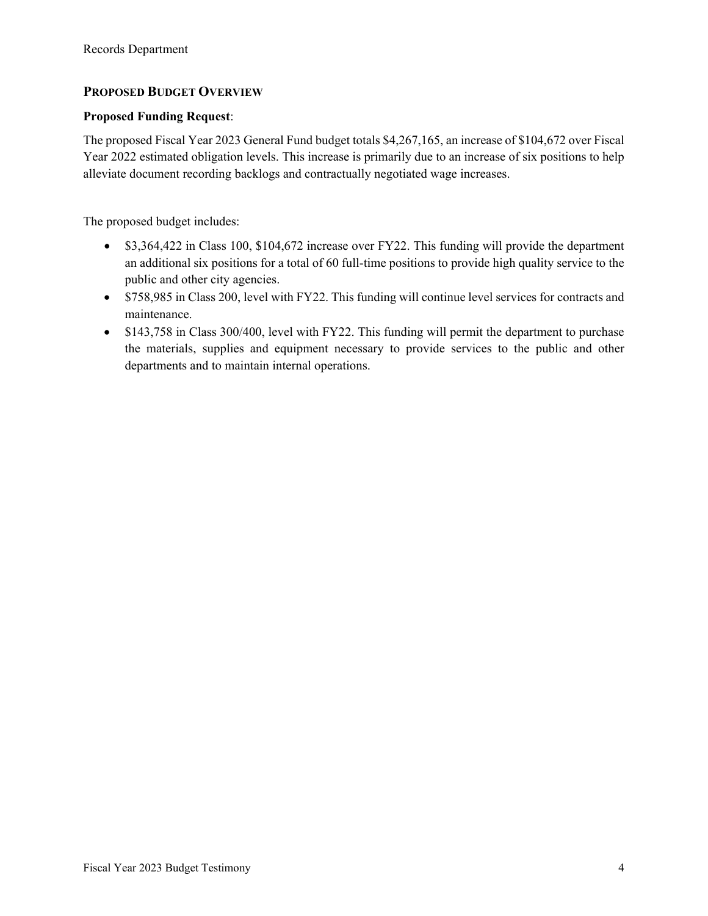## **PROPOSED BUDGET OVERVIEW**

### **Proposed Funding Request**:

The proposed Fiscal Year 2023 General Fund budget totals \$4,267,165, an increase of \$104,672 over Fiscal Year 2022 estimated obligation levels. This increase is primarily due to an increase of six positions to help alleviate document recording backlogs and contractually negotiated wage increases.

The proposed budget includes:

- \$3,364,422 in Class 100, \$104,672 increase over FY22. This funding will provide the department an additional six positions for a total of 60 full-time positions to provide high quality service to the public and other city agencies.
- \$758,985 in Class 200, level with FY22. This funding will continue level services for contracts and maintenance.
- \$143,758 in Class 300/400, level with FY22. This funding will permit the department to purchase the materials, supplies and equipment necessary to provide services to the public and other departments and to maintain internal operations.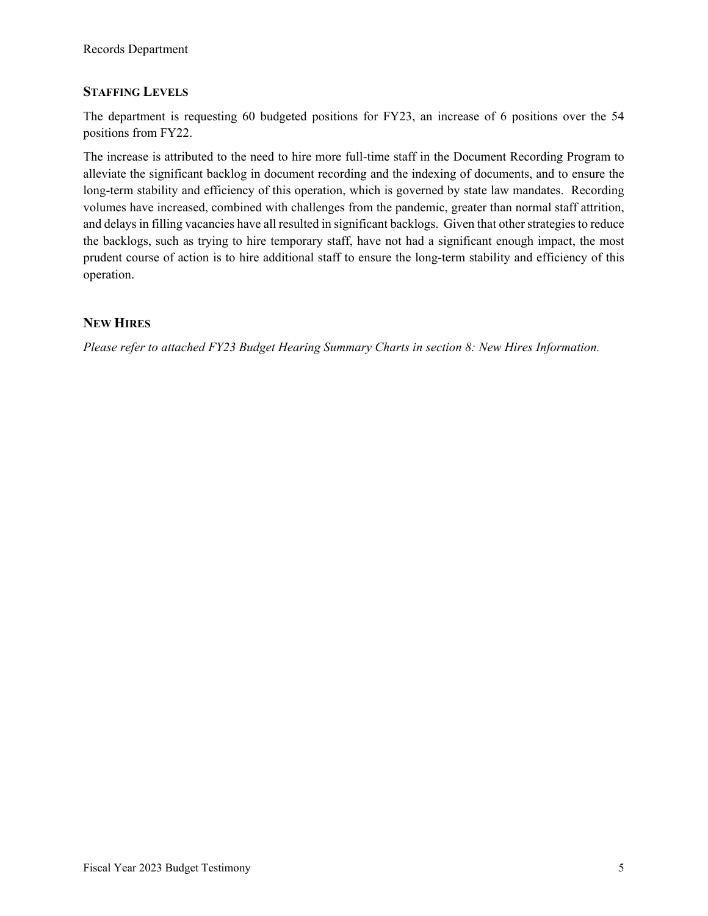## **STAFFING LEVELS**

The department is requesting 60 budgeted positions for FY23, an increase of 6 positions over the 54 positions from FY22.

The increase is attributed to the need to hire more full-time staff in the Document Recording Program to alleviate the significant backlog in document recording and the indexing of documents, and to ensure the long-term stability and efficiency of this operation, which is governed by state law mandates. Recording volumes have increased, combined with challenges from the pandemic, greater than normal staff attrition, and delays in filling vacancies have all resulted in significant backlogs. Given that other strategies to reduce the backlogs, such as trying to hire temporary staff, have not had a significant enough impact, the most prudent course of action is to hire additional staff to ensure the long-term stability and efficiency of this operation.

## **NEW HIRES**

*Please refer to attached FY23 Budget Hearing Summary Charts in section 8: New Hires Information.*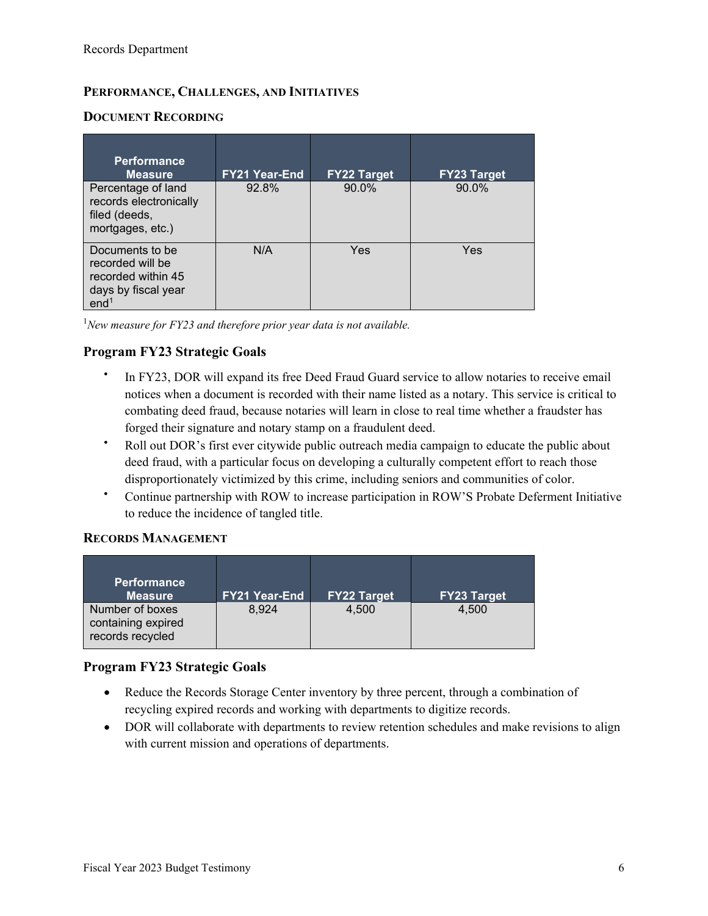## **PERFORMANCE, CHALLENGES, AND INITIATIVES**

## **DOCUMENT RECORDING**

| <b>Performance</b><br><b>Measure</b>                                                                 | <b>FY21 Year-End</b> | <b>FY22 Target</b> | <b>FY23 Target</b> |
|------------------------------------------------------------------------------------------------------|----------------------|--------------------|--------------------|
| Percentage of land<br>records electronically<br>filed (deeds,<br>mortgages, etc.)                    | 92.8%                | 90.0%              | 90.0%              |
| Documents to be<br>recorded will be<br>recorded within 45<br>days by fiscal year<br>end <sup>1</sup> | N/A                  | Yes                | Yes                |

<sup>1</sup>New measure for FY23 and therefore prior year data is not available.

## **Program FY23 Strategic Goals**

- In FY23, DOR will expand its free Deed Fraud Guard service to allow notaries to receive email notices when a document is recorded with their name listed as a notary. This service is critical to combating deed fraud, because notaries will learn in close to real time whether a fraudster has forged their signature and notary stamp on a fraudulent deed.
- Roll out DOR's first ever citywide public outreach media campaign to educate the public about deed fraud, with a particular focus on developing a culturally competent effort to reach those disproportionately victimized by this crime, including seniors and communities of color.
- Continue partnership with ROW to increase participation in ROW'S Probate Deferment Initiative to reduce the incidence of tangled title.

## **RECORDS MANAGEMENT**

| <b>Performance</b><br><b>Measure</b>                      | <b>FY21 Year-End</b> | <b>FY22 Target</b> | <b>FY23 Target</b> |
|-----------------------------------------------------------|----------------------|--------------------|--------------------|
| Number of boxes<br>containing expired<br>records recycled | 8.924                | 4.500              | 4.500              |

## **Program FY23 Strategic Goals**

- Reduce the Records Storage Center inventory by three percent, through a combination of recycling expired records and working with departments to digitize records.
- DOR will collaborate with departments to review retention schedules and make revisions to align with current mission and operations of departments.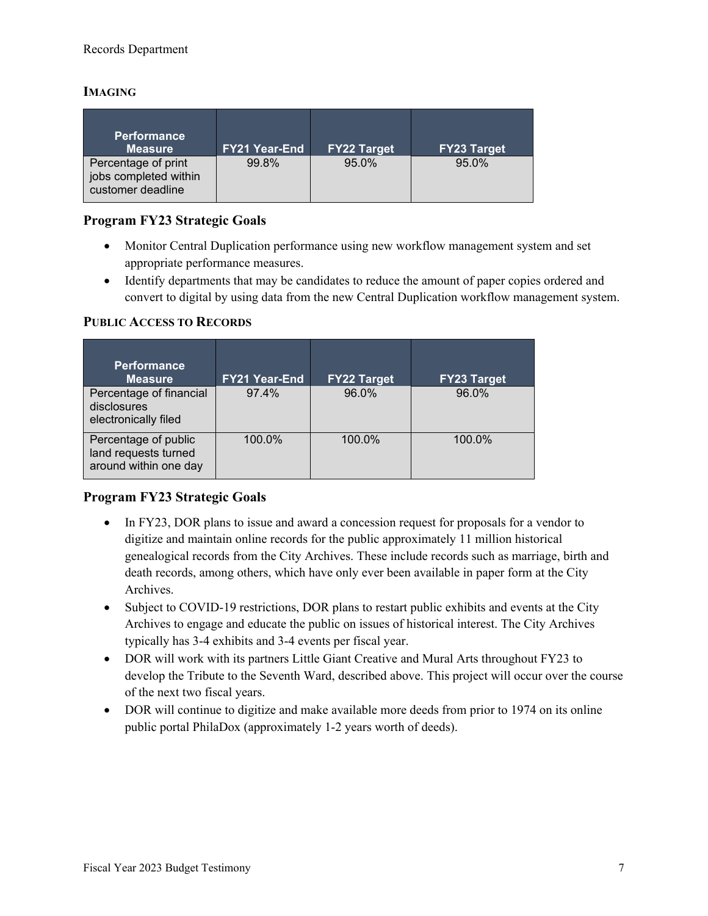## **IMAGING**

| <b>Performance</b><br><b>Measure</b>                              | <b>FY21 Year-End</b> | <b>FY22 Target</b> | <b>FY23 Target</b> |
|-------------------------------------------------------------------|----------------------|--------------------|--------------------|
| Percentage of print<br>jobs completed within<br>customer deadline | 99.8%                | 95.0%              | 95.0%              |

## **Program FY23 Strategic Goals**

- Monitor Central Duplication performance using new workflow management system and set appropriate performance measures.
- Identify departments that may be candidates to reduce the amount of paper copies ordered and convert to digital by using data from the new Central Duplication workflow management system.

## **PUBLIC ACCESS TO RECORDS**

| <b>Performance</b><br><b>Measure</b>                                  | <b>FY21 Year-End</b> | <b>FY22 Target</b> | <b>FY23 Target</b> |
|-----------------------------------------------------------------------|----------------------|--------------------|--------------------|
| Percentage of financial<br>disclosures<br>electronically filed        | 97.4%                | 96.0%              | 96.0%              |
| Percentage of public<br>land requests turned<br>around within one day | 100.0%               | 100.0%             | 100.0%             |

## **Program FY23 Strategic Goals**

- In FY23, DOR plans to issue and award a concession request for proposals for a vendor to digitize and maintain online records for the public approximately 11 million historical genealogical records from the City Archives. These include records such as marriage, birth and death records, among others, which have only ever been available in paper form at the City Archives.
- Subject to COVID-19 restrictions, DOR plans to restart public exhibits and events at the City Archives to engage and educate the public on issues of historical interest. The City Archives typically has 3-4 exhibits and 3-4 events per fiscal year.
- DOR will work with its partners Little Giant Creative and Mural Arts throughout FY23 to develop the Tribute to the Seventh Ward, described above. This project will occur over the course of the next two fiscal years.
- DOR will continue to digitize and make available more deeds from prior to 1974 on its online public portal PhilaDox (approximately 1-2 years worth of deeds).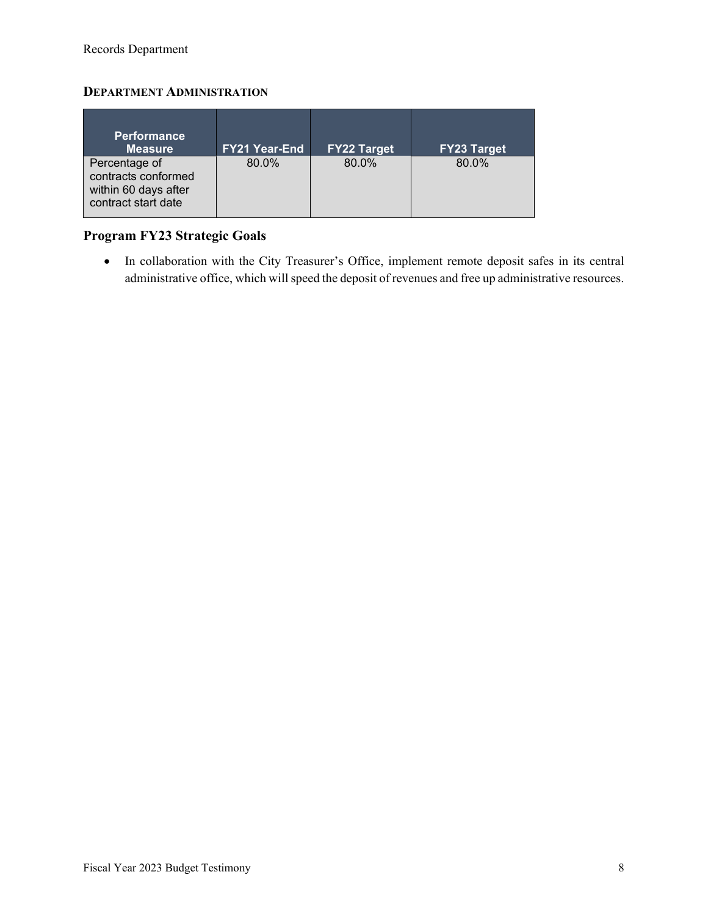## **DEPARTMENT ADMINISTRATION**

| <b>Performance</b><br><b>Measure</b>                                                | <b>FY21 Year-End</b> | <b>FY22 Target</b> | <b>FY23 Target</b> |
|-------------------------------------------------------------------------------------|----------------------|--------------------|--------------------|
| Percentage of<br>contracts conformed<br>within 60 days after<br>contract start date | 80.0%                | 80.0%              | 80.0%              |

# **Program FY23 Strategic Goals**

• In collaboration with the City Treasurer's Office, implement remote deposit safes in its central administrative office, which will speed the deposit of revenues and free up administrative resources.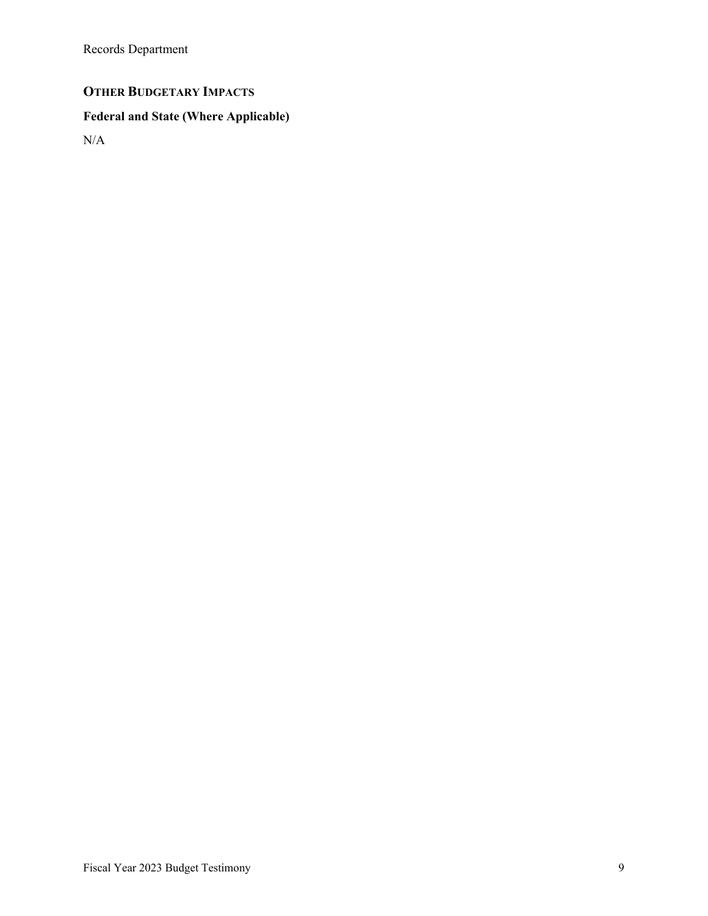# **OTHER BUDGETARY IMPACTS**

# **Federal and State (Where Applicable)**

N/A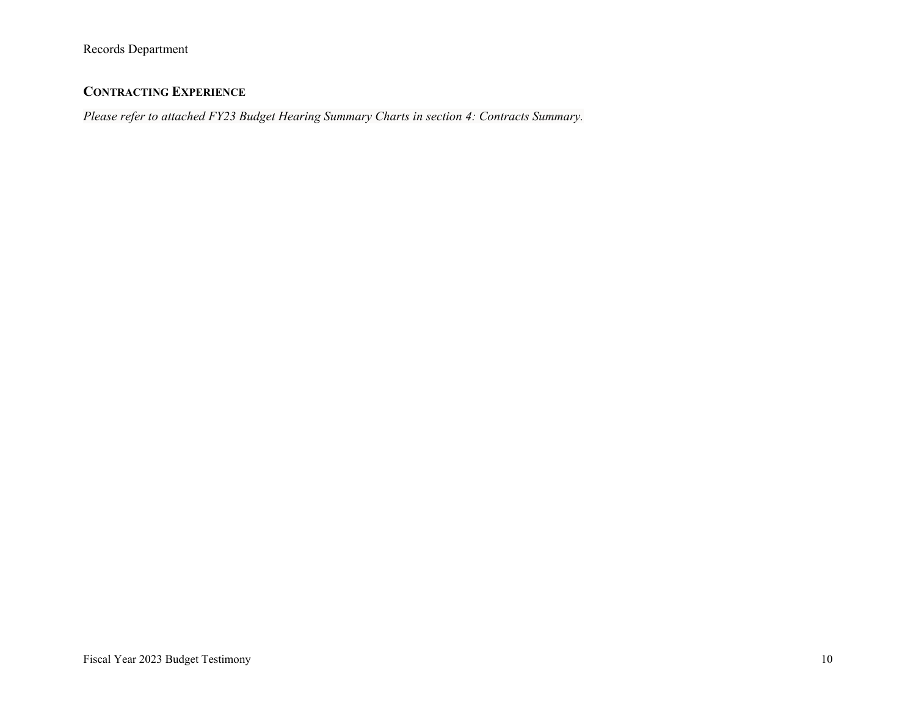## **CONTRACTING EXPERIENCE**

*Please refer to attached FY23 Budget Hearing Summary Charts in section 4: Contracts Summary.*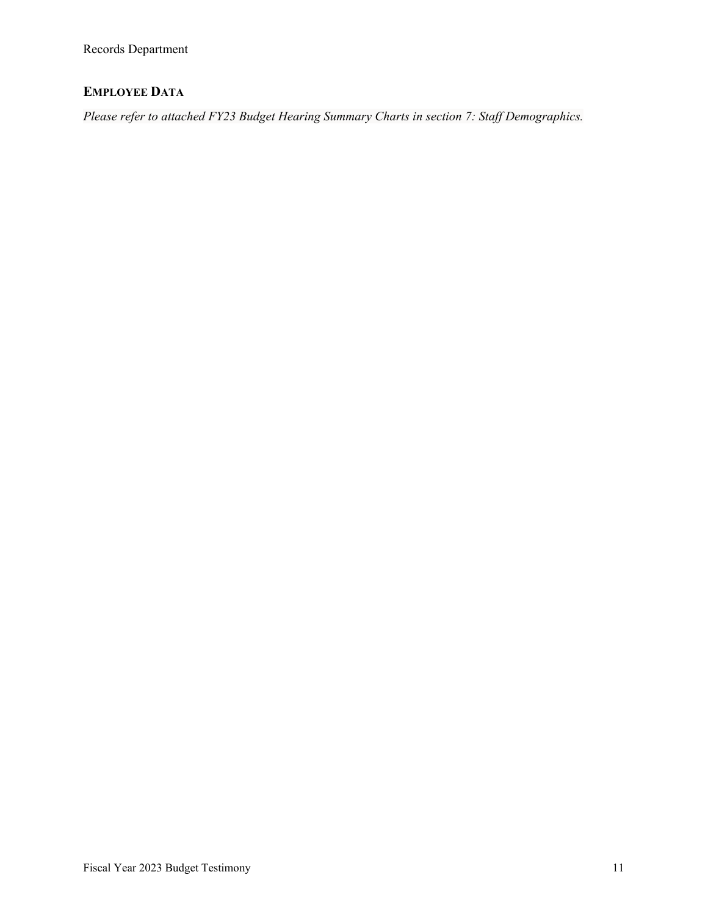# **EMPLOYEE DATA**

*Please refer to attached FY23 Budget Hearing Summary Charts in section 7: Staff Demographics.*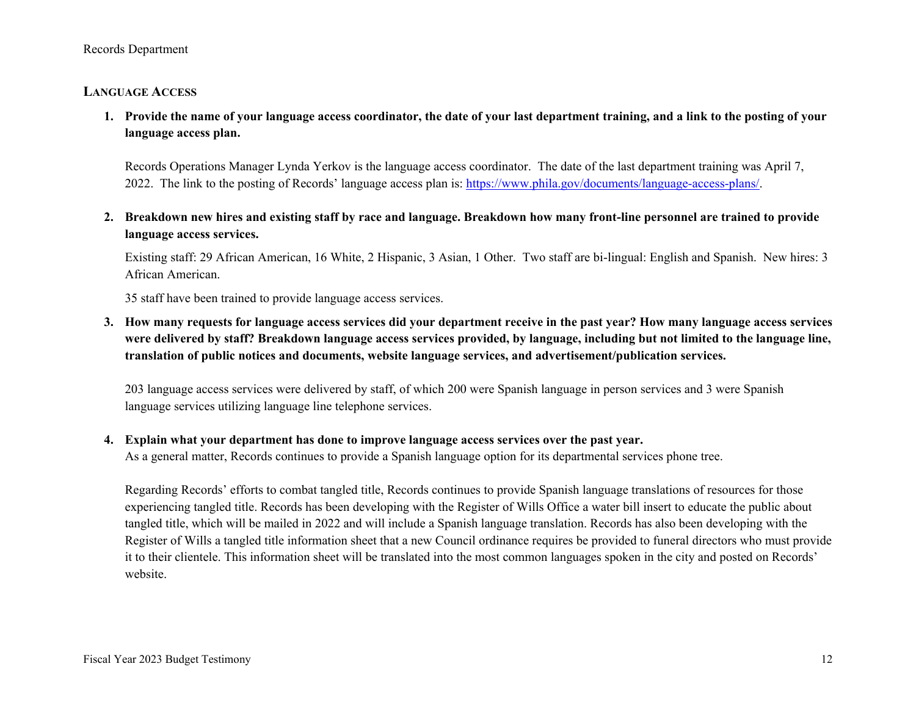### **LANGUAGE ACCESS**

**1. Provide the name of your language access coordinator, the date of your last department training, and a link to the posting of your language access plan.**

Records Operations Manager Lynda Yerkov is the language access coordinator. The date of the last department training was April 7, 2022. The link to the posting of Records' language access plan is: [https://www.phila.gov/documents/language-access-plans/.](https://www.phila.gov/documents/language-access-plans/)

**2. Breakdown new hires and existing staff by race and language. Breakdown how many front-line personnel are trained to provide language access services.**

Existing staff: 29 African American, 16 White, 2 Hispanic, 3 Asian, 1 Other. Two staff are bi-lingual: English and Spanish. New hires: 3 African American.

35 staff have been trained to provide language access services.

**3. How many requests for language access services did your department receive in the past year? How many language access services were delivered by staff? Breakdown language access services provided, by language, including but not limited to the language line, translation of public notices and documents, website language services, and advertisement/publication services.**

203 language access services were delivered by staff, of which 200 were Spanish language in person services and 3 were Spanish language services utilizing language line telephone services.

### **4. Explain what your department has done to improve language access services over the past year.**

As a general matter, Records continues to provide a Spanish language option for its departmental services phone tree.

Regarding Records' efforts to combat tangled title, Records continues to provide Spanish language translations of resources for those experiencing tangled title. Records has been developing with the Register of Wills Office a water bill insert to educate the public about tangled title, which will be mailed in 2022 and will include a Spanish language translation. Records has also been developing with the Register of Wills a tangled title information sheet that a new Council ordinance requires be provided to funeral directors who must provide it to their clientele. This information sheet will be translated into the most common languages spoken in the city and posted on Records' website.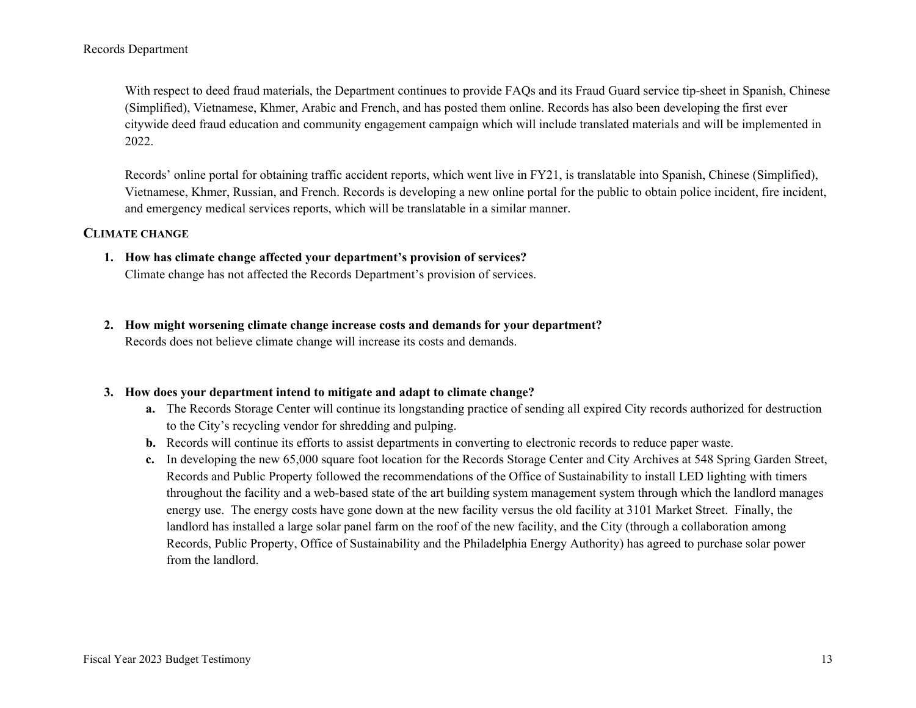With respect to deed fraud materials, the Department continues to provide FAQs and its Fraud Guard service tip-sheet in Spanish, Chinese (Simplified), Vietnamese, Khmer, Arabic and French, and has posted them online. Records has also been developing the first ever citywide deed fraud education and community engagement campaign which will include translated materials and will be implemented in 2022.

Records' online portal for obtaining traffic accident reports, which went live in FY21, is translatable into Spanish, Chinese (Simplified), Vietnamese, Khmer, Russian, and French. Records is developing a new online portal for the public to obtain police incident, fire incident, and emergency medical services reports, which will be translatable in a similar manner.

### **CLIMATE CHANGE**

- **1. How has climate change affected your department's provision of services?** Climate change has not affected the Records Department's provision of services.
- **2. How might worsening climate change increase costs and demands for your department?** Records does not believe climate change will increase its costs and demands.

### **3. How does your department intend to mitigate and adapt to climate change?**

- **a.** The Records Storage Center will continue its longstanding practice of sending all expired City records authorized for destruction to the City's recycling vendor for shredding and pulping.
- **b.** Records will continue its efforts to assist departments in converting to electronic records to reduce paper waste.
- **c.** In developing the new 65,000 square foot location for the Records Storage Center and City Archives at 548 Spring Garden Street, Records and Public Property followed the recommendations of the Office of Sustainability to install LED lighting with timers throughout the facility and a web-based state of the art building system management system through which the landlord manages energy use. The energy costs have gone down at the new facility versus the old facility at 3101 Market Street. Finally, the landlord has installed a large solar panel farm on the roof of the new facility, and the City (through a collaboration among Records, Public Property, Office of Sustainability and the Philadelphia Energy Authority) has agreed to purchase solar power from the landlord.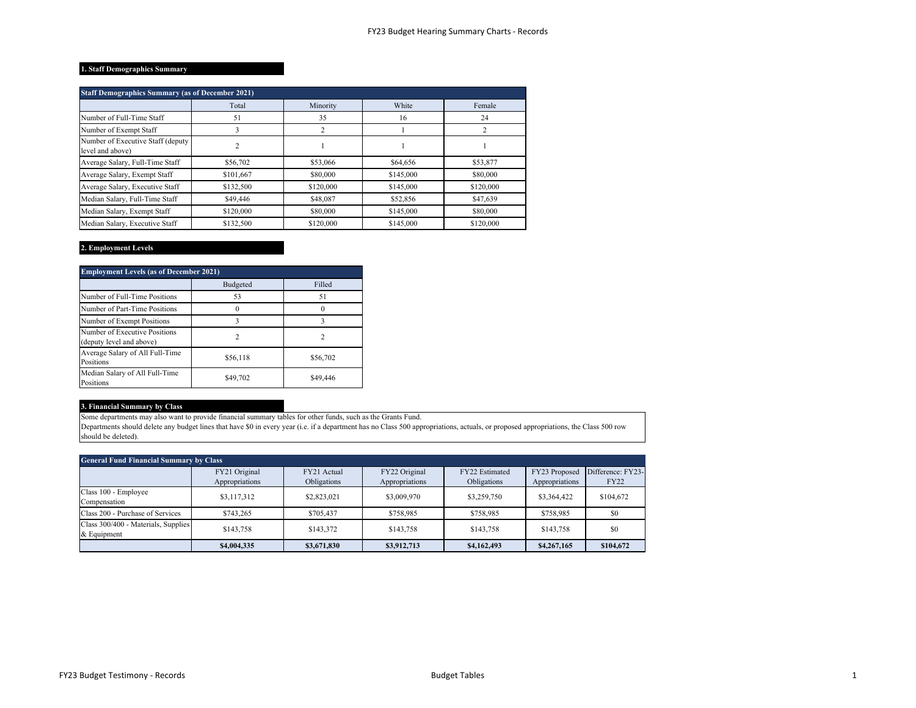#### **1. Staff Demographics Summary**

| <b>Staff Demographics Summary (as of December 2021)</b> |                |           |           |           |  |  |  |
|---------------------------------------------------------|----------------|-----------|-----------|-----------|--|--|--|
|                                                         | Total          | Minority  | White     | Female    |  |  |  |
| Number of Full-Time Staff                               | 51             | 35        | 16        | 24        |  |  |  |
| Number of Exempt Staff                                  | 3              | 2         |           |           |  |  |  |
| Number of Executive Staff (deputy<br>level and above)   | $\overline{2}$ |           |           |           |  |  |  |
| Average Salary, Full-Time Staff                         | \$56,702       | \$53,066  | \$64,656  | \$53,877  |  |  |  |
| Average Salary, Exempt Staff                            | \$101,667      | \$80,000  | \$145,000 | \$80,000  |  |  |  |
| Average Salary, Executive Staff                         | \$132,500      | \$120,000 | \$145,000 | \$120,000 |  |  |  |
| Median Salary, Full-Time Staff                          | \$49,446       | \$48,087  | \$52,856  | \$47,639  |  |  |  |
| Median Salary, Exempt Staff                             | \$120,000      | \$80,000  | \$145,000 | \$80,000  |  |  |  |
| Median Salary, Executive Staff                          | \$132,500      | \$120,000 | \$145,000 | \$120,000 |  |  |  |

### **2. Employment Levels**

| <b>Employment Levels (as of December 2021)</b>            |                |          |  |  |  |  |
|-----------------------------------------------------------|----------------|----------|--|--|--|--|
|                                                           | Budgeted       | Filled   |  |  |  |  |
| Number of Full-Time Positions                             | 53             | 51       |  |  |  |  |
| Number of Part-Time Positions                             |                |          |  |  |  |  |
| Number of Exempt Positions                                |                |          |  |  |  |  |
| Number of Executive Positions<br>(deputy level and above) | $\mathfrak{D}$ | 2        |  |  |  |  |
| Average Salary of All Full-Time<br>Positions              | \$56,118       | \$56,702 |  |  |  |  |
| Median Salary of All Full-Time<br>Positions               | \$49,702       | \$49,446 |  |  |  |  |

### **3. Financial Summary by Class**

Some departments may also want to provide financial summary tables for other funds, such as the Grants Fund.

Departments should delete any budget lines that have \$0 in every year (i.e. if a department has no Class 500 appropriations, actuals, or proposed appropriations, the Class 500 row should be deleted).

| <b>General Fund Financial Summary by Class</b>     |                                 |                            |                                 |                               |                                 |                                  |  |
|----------------------------------------------------|---------------------------------|----------------------------|---------------------------------|-------------------------------|---------------------------------|----------------------------------|--|
|                                                    | FY21 Original<br>Appropriations | FY21 Actual<br>Obligations | FY22 Original<br>Appropriations | FY22 Estimated<br>Obligations | FY23 Proposed<br>Appropriations | Difference: FY23-<br><b>FY22</b> |  |
| Class 100 - Employee<br>Compensation               | \$3,117,312                     | \$2,823,021                | \$3,009,970                     | \$3,259,750                   | \$3,364,422                     | \$104,672                        |  |
| Class 200 - Purchase of Services                   | \$743.265                       | \$705,437                  | \$758,985                       | \$758,985                     | \$758,985                       | \$0                              |  |
| Class 300/400 - Materials, Supplies<br>& Equipment | \$143,758                       | \$143,372                  | \$143,758                       | \$143,758                     | \$143,758                       | \$0                              |  |
|                                                    | \$4,004,335                     | \$3,671,830                | \$3,912,713                     | \$4,162,493                   | \$4,267,165                     | \$104,672                        |  |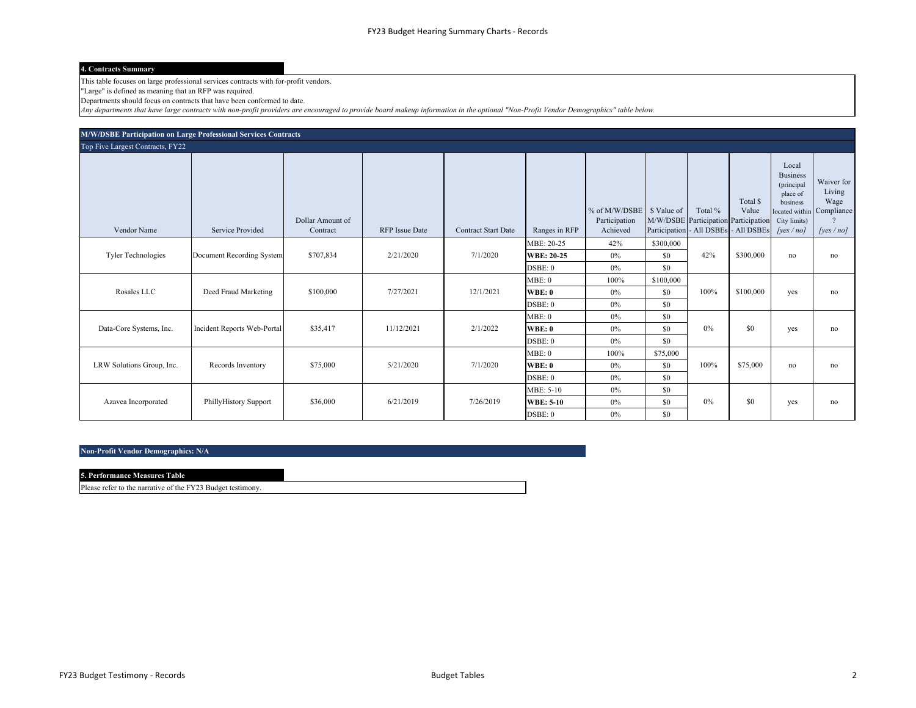#### **4. Contracts Summary**

This table focuses on large professional services contracts with for-profit vendors.

"Large" is defined as meaning that an RFP was required.

Departments should focus on contracts that have been conformed to date.

*Any departments that have large contracts with non-profit providers are encouraged to provide board makeup information in the optional "Non-Profit Vendor Demographics" table below.*

| M/W/DSBE Participation on Large Professional Services Contracts |                             |                              |                       |                            |                                            |                                            |                         |                                                                                          |                   |                                                                                                |                                                                          |
|-----------------------------------------------------------------|-----------------------------|------------------------------|-----------------------|----------------------------|--------------------------------------------|--------------------------------------------|-------------------------|------------------------------------------------------------------------------------------|-------------------|------------------------------------------------------------------------------------------------|--------------------------------------------------------------------------|
| Top Five Largest Contracts, FY22                                |                             |                              |                       |                            |                                            |                                            |                         |                                                                                          |                   |                                                                                                |                                                                          |
| Vendor Name                                                     | <b>Service Provided</b>     | Dollar Amount of<br>Contract | <b>RFP</b> Issue Date | <b>Contract Start Date</b> | Ranges in RFP                              | % of M/W/DSBE<br>Participation<br>Achieved | \$ Value of             | Total %<br>M/W/DSBE Participation Participation<br>Participation - All DSBEs - All DSBEs | Total \$<br>Value | Local<br><b>Business</b><br>(principal<br>place of<br>business<br>City limits)<br>[yes $/$ no] | Waiver for<br>Living<br>Wage<br>ocated within Compliance<br>[yes $/$ no] |
| Tyler Technologies                                              | Document Recording System   | \$707,834                    | 2/21/2020             | 7/1/2020                   | MBE: 20-25<br><b>WBE: 20-25</b><br>DSBE: 0 | 42%<br>0%<br>0%                            | \$300,000<br>\$0<br>\$0 | 42%                                                                                      | \$300,000         | no                                                                                             | no                                                                       |
| Rosales LLC                                                     | Deed Fraud Marketing        | \$100,000                    | 7/27/2021             | 12/1/2021                  | MBE:0<br><b>WBE: 0</b><br>DSBE: 0          | 100%<br>$0\%$<br>0%                        | \$100,000<br>\$0<br>\$0 | 100%                                                                                     | \$100,000         | yes                                                                                            | no                                                                       |
| Data-Core Systems, Inc.                                         | Incident Reports Web-Portal | \$35,417                     | 11/12/2021            | 2/1/2022                   | MBE:0<br><b>WBE: 0</b><br>DSBE: 0          | 0%<br>0%<br>0%                             | \$0<br>\$0<br>\$0       | $0\%$                                                                                    | \$0               | yes                                                                                            | no                                                                       |
| LRW Solutions Group, Inc.                                       | Records Inventory           | \$75,000                     | 5/21/2020             | 7/1/2020                   | MBE:0<br><b>WBE: 0</b><br>DSBE: 0          | 100%<br>$0\%$<br>0%                        | \$75,000<br>\$0<br>\$0  | 100%                                                                                     | \$75,000          | no                                                                                             | no                                                                       |
| Azavea Incorporated                                             | PhillyHistory Support       | \$36,000                     | 6/21/2019             | 7/26/2019                  | MBE: 5-10<br><b>WBE: 5-10</b><br>DSBE: 0   | 0%<br>0%<br>$0\%$                          | \$0<br>\$0<br>\$0       | $0\%$                                                                                    | \$0               | yes                                                                                            | no                                                                       |

#### **Non-Profit Vendor Demographics: N/A**

| <b>5. Performance Measures Table</b> |  |
|--------------------------------------|--|
|                                      |  |

Please refer to the narrative of the FY23 Budget testimony.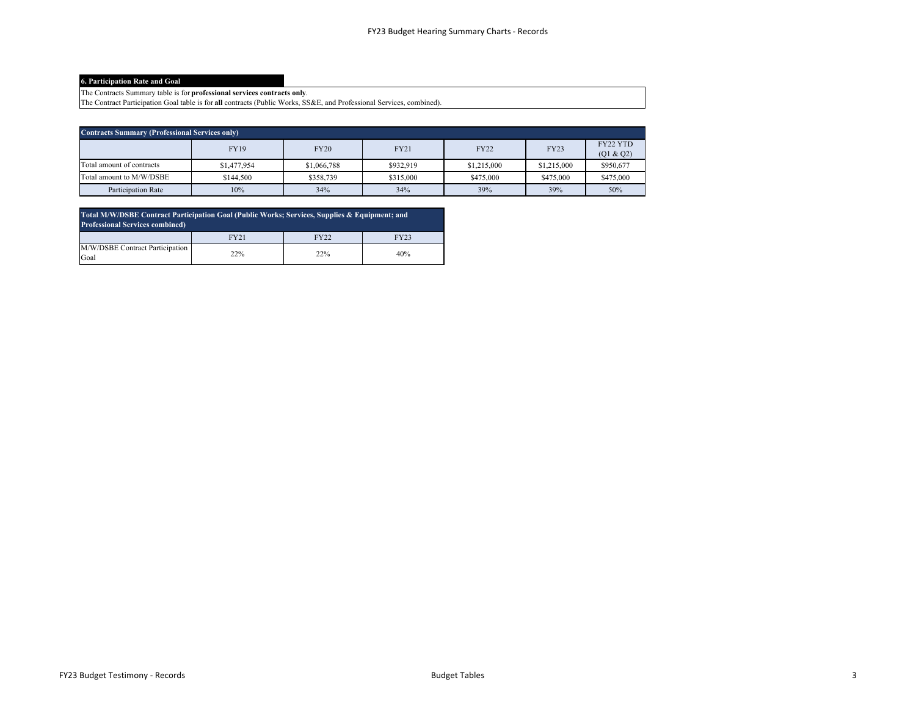#### **6. Participation Rate and Goal**

The Contracts Summary table is for **professional services contracts only**.

The Contract Participation Goal table is for **all** contracts (Public Works, SS&E, and Professional Services, combined).

| <b>Contracts Summary (Professional Services only)</b> |             |             |             |             |             |                       |  |
|-------------------------------------------------------|-------------|-------------|-------------|-------------|-------------|-----------------------|--|
|                                                       | <b>FY19</b> | <b>FY20</b> | <b>FY21</b> | <b>FY22</b> | <b>FY23</b> | FY22 YTD<br>(Q1 & Q2) |  |
| Total amount of contracts                             | \$1,477,954 | \$1,066,788 | \$932,919   | \$1,215,000 | \$1,215,000 | \$950,677             |  |
| Total amount to M/W/DSBE                              | \$144,500   | \$358,739   | \$315,000   | \$475,000   | \$475,000   | \$475,000             |  |
| Participation Rate                                    | 10%         | 34%         | 34%         | 39%         | 39%         | 50%                   |  |

| Total M/W/DSBE Contract Participation Goal (Public Works; Services, Supplies & Equipment; and<br><b>Professional Services combined)</b> |      |      |      |  |  |
|-----------------------------------------------------------------------------------------------------------------------------------------|------|------|------|--|--|
|                                                                                                                                         | FY21 | FY22 | FY23 |  |  |
| M/W/DSBE Contract Participation<br>Goal                                                                                                 | 22%  | 22%  | 40%  |  |  |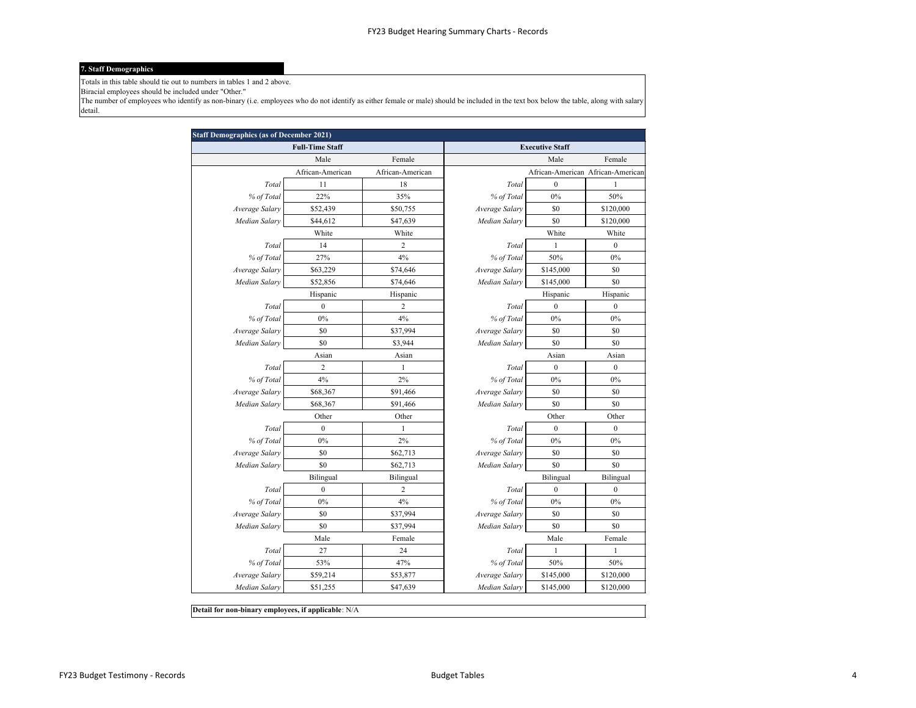#### **7. Staff Demographics**

Totals in this table should tie out to numbers in tables 1 and 2 above.

Biracial employees should be included under "Other."

The number of employees who identify as non-binary (i.e. employees who do not identify as either female or male) should be included in the text box below the table, along with salary detail.

| <b>Staff Demographics (as of December 2021)</b> |                        |                        |                |                  |                                   |  |
|-------------------------------------------------|------------------------|------------------------|----------------|------------------|-----------------------------------|--|
|                                                 | <b>Full-Time Staff</b> | <b>Executive Staff</b> |                |                  |                                   |  |
| Female<br>Male                                  |                        |                        | Female<br>Male |                  |                                   |  |
|                                                 | African-American       | African-American       |                |                  | African-American African-American |  |
| Total                                           | 11                     | 18                     | Total          | $\mathbf{0}$     | $\mathbf{1}$                      |  |
| % of Total                                      | 22%                    | 35%                    | % of Total     | 0%               | 50%                               |  |
| Average Salary                                  | \$52,439               | \$50,755               | Average Salary | \$0              | \$120,000                         |  |
| Median Salary                                   | \$44,612               | \$47,639               | Median Salary  | \$0              | \$120,000                         |  |
|                                                 | White                  | White                  |                | White            | White                             |  |
| Total                                           | 14                     | 2                      | Total          | $\mathbf{1}$     | $\boldsymbol{0}$                  |  |
| % of Total                                      | 27%                    | 4%                     | % of Total     | 50%              | 0%                                |  |
| Average Salary                                  | \$63,229               | \$74,646               | Average Salary | \$145,000        | \$0                               |  |
| Median Salary                                   | \$52,856               | \$74,646               | Median Salary  | \$145,000        | \$0                               |  |
|                                                 | Hispanic               | Hispanic               |                | Hispanic         | Hispanic                          |  |
| Total                                           | $\boldsymbol{0}$       | 2                      | Total          | $\boldsymbol{0}$ | $\boldsymbol{0}$                  |  |
| % of Total                                      | 0%                     | 4%                     | % of Total     | 0%               | 0%                                |  |
| Average Salary                                  | \$0                    | \$37,994               | Average Salary | \$0              | \$0                               |  |
| Median Salary                                   | \$0                    | \$3,944                | Median Salary  | \$0              | \$0                               |  |
|                                                 | Asian                  | Asian                  |                | Asian            | Asian                             |  |
| Total                                           | $\overline{2}$         | $\mathbf{1}$           | Total          | $\boldsymbol{0}$ | $\boldsymbol{0}$                  |  |
| % of Total                                      | 4%                     | $2\%$                  | % of Total     | 0%               | $0\%$                             |  |
| Average Salary                                  | \$68,367               | \$91,466               | Average Salary | \$0              | \$0                               |  |
| Median Salary                                   | \$68,367               | \$91,466               | Median Salary  | \$0              | \$0                               |  |
|                                                 | Other                  | Other                  |                | Other            | Other                             |  |
| Total                                           | $\boldsymbol{0}$       | $\mathbf{1}$           | Total          | $\boldsymbol{0}$ | $\boldsymbol{0}$                  |  |
| % of Total                                      | 0%                     | 2%                     | % of Total     | $0\%$            | 0%                                |  |
| Average Salary                                  | \$0                    | \$62,713               | Average Salary | \$0              | \$0                               |  |
| Median Salary                                   | \$0                    | \$62,713               | Median Salary  | \$0              | \$0                               |  |
|                                                 | Bilingual              | Bilingual              |                | Bilingual        | Bilingual                         |  |
| Total                                           | $\boldsymbol{0}$       | $\overline{c}$         | Total          | $\mathbf{0}$     | $\boldsymbol{0}$                  |  |
| % of Total                                      | 0%                     | 4%                     | % of Total     | 0%               | 0%                                |  |
| Average Salary                                  | \$0                    | \$37,994               | Average Salary | \$0              | \$0                               |  |
| Median Salary                                   | \$0                    | \$37,994               | Median Salary  | \$0              | \$0                               |  |
|                                                 | Male                   | Female                 |                | Male             | Female                            |  |
| Total                                           | 27                     | 24                     | Total          | $\mathbf{1}$     | $\mathbf{1}$                      |  |
| % of Total                                      | 53%                    | 47%                    | % of Total     | 50%              | 50%                               |  |
| Average Salary                                  | \$59,214               | \$53,877               | Average Salary | \$145,000        | \$120,000                         |  |
| Median Salary                                   | \$51,255               | \$47,639               | Median Salary  | \$145,000        | \$120,000                         |  |
|                                                 |                        |                        |                |                  |                                   |  |

**Detail for non-binary employees, if applicable**: N/A